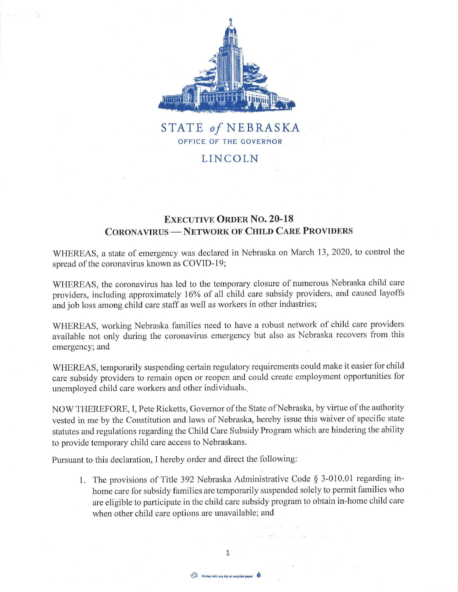

## **STATE** *of* **NEBRASKA**  OFFICE OF THE GOVERNOR

## **LINCOLN**

## **EXECUTIVE ORDER NO. 20-18 CORONA VIRUS - NETWORK OF CHILD CARE PROVIDERS**

WHEREAS, a state of emergency was declared in Nebraska on March 13, 2020, to control the spread of the coronavirus known as COVID-19;

WHEREAS, the coronavirus has led to the temporary closure of numerous Nebraska child care providers, including approximately 16% of all child care subsidy providers, and caused layoffs and job loss among child care staff as well as workers in other industries;

WHEREAS, working Nebraska families need to have a robust network of child care providers available not only during the coronavirus emergency but also as Nebraska recovers from this emergency; and

WHEREAS, temporarily suspending certain regulatory requirements could make it easier for child care subsidy providers to remain open or reopen and could create employment opportunities for unemployed child care workers and other individuals ..

NOW THEREFORE, I, Pete Ricketts, Governor of the State of Nebraska, by virtue of the authority vested in me by the Constitution and laws of Nebraska, hereby issue this waiver of specific state statutes and regulations regarding the Child Care Subsidy Program which are hindering the ability to provide temporary child care access to Nebraskans.

Pursuant to this declaration, I hereby order and direct the following:

1. The provisions of Title 392 Nebraska Administrative Code § 3-010.01 regarding inhome care for subsidy families are temporarily suspended solely to permit families who are eligible to participate in the child care subsidy program to obtain in-home child care when other child care options are unavailable; and

 $\label{eq:1.1} \mathbb{E} \left[ -\frac{1}{2} G \left( \mathbf{r} \right) - \frac{1}{2} \frac{G}{2} G \left( \mathbf{r} \right) \right] = \frac{1}{2 \sqrt{2} \sqrt{2}} \left[ -\frac{1}{2} \frac{G}{2} \left( \mathbf{r} \right) \right]$ 

1

Printed with soy ink on recycled paper